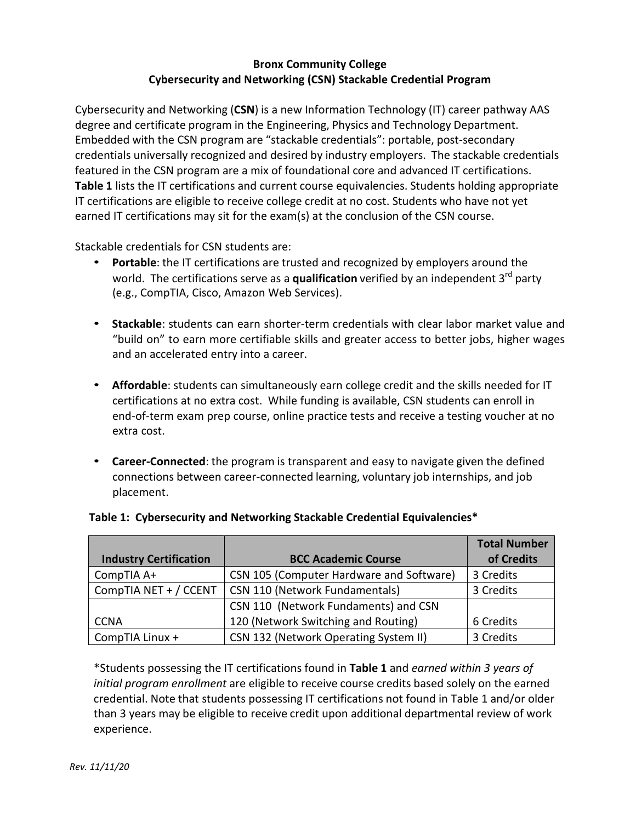## **Bronx Community College Cybersecurity and Networking (CSN) Stackable Credential Program**

Cybersecurity and Networking (**CSN**) is a new Information Technology (IT) career pathway AAS degree and certificate program in the Engineering, Physics and Technology Department. Embedded with the CSN program are "stackable credentials": portable, post-secondary credentials universally recognized and desired by industry employers. The stackable credentials featured in the CSN program are a mix of foundational core and advanced IT certifications. **Table 1** lists the IT certifications and current course equivalencies. Students holding appropriate IT certifications are eligible to receive college credit at no cost. Students who have not yet earned IT certifications may sit for the exam(s) at the conclusion of the CSN course.

Stackable credentials for CSN students are:

- **Portable**: the IT certifications are trusted and recognized by employers around the world. The certifications serve as a **qualification** verified by an independent 3<sup>rd</sup> party (e.g., CompTIA, Cisco, Amazon Web Services).
- **Stackable**: students can earn shorter-term credentials with clear labor market value and "build on" to earn more certifiable skills and greater access to better jobs, higher wages and an accelerated entry into a career.
- **Affordable**: students can simultaneously earn college credit and the skills needed for IT certifications at no extra cost. While funding is available, CSN students can enroll in end-of-term exam prep course, online practice tests and receive a testing voucher at no extra cost.
- **Career-Connected**: the program is transparent and easy to navigate given the defined connections between career-connected learning, voluntary job internships, and job placement.

|                               |                                          | <b>Total Number</b> |
|-------------------------------|------------------------------------------|---------------------|
| <b>Industry Certification</b> | <b>BCC Academic Course</b>               | of Credits          |
| CompTIA A+                    | CSN 105 (Computer Hardware and Software) | 3 Credits           |
| CompTIA NET + / CCENT         | CSN 110 (Network Fundamentals)           | 3 Credits           |
|                               | CSN 110 (Network Fundaments) and CSN     |                     |
| <b>CCNA</b>                   | 120 (Network Switching and Routing)      | 6 Credits           |
| CompTIA Linux +               | CSN 132 (Network Operating System II)    | 3 Credits           |

# **Table 1: Cybersecurity and Networking Stackable Credential Equivalencies\***

\*Students possessing the IT certifications found in **Table 1** and *earned within 3 years of initial program enrollment* are eligible to receive course credits based solely on the earned credential. Note that students possessing IT certifications not found in Table 1 and/or older than 3 years may be eligible to receive credit upon additional departmental review of work experience.